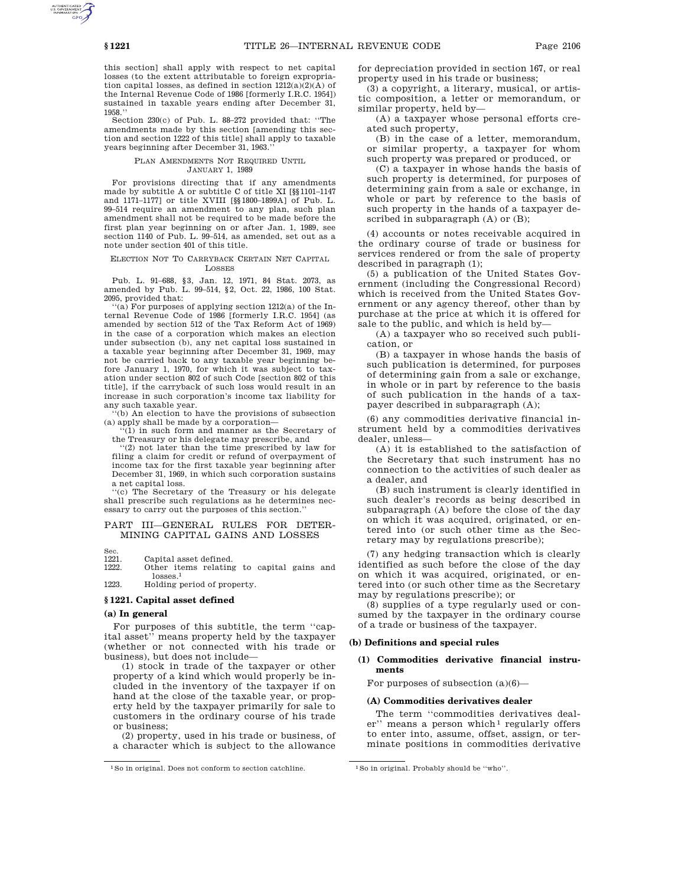this section] shall apply with respect to net capital losses (to the extent attributable to foreign expropriation capital losses, as defined in section  $1212(a)(2)(A)$  of the Internal Revenue Code of 1986 [formerly I.R.C. 1954]) sustained in taxable years ending after December 31, 1958.''

Section 230(c) of Pub. L. 88–272 provided that: ''The amendments made by this section [amending this section and section 1222 of this title] shall apply to taxable years beginning after December 31, 1963.''

#### PLAN AMENDMENTS NOT REQUIRED UNTIL JANUARY 1, 1989

For provisions directing that if any amendments made by subtitle A or subtitle C of title XI [§§1101–1147 and 1171–1177] or title XVIII [§§1800–1899A] of Pub. L. 99–514 require an amendment to any plan, such plan amendment shall not be required to be made before the first plan year beginning on or after Jan. 1, 1989, see section 1140 of Pub. L. 99-514, as amended, set out as a note under section 401 of this title.

#### ELECTION NOT TO CARRYBACK CERTAIN NET CAPITAL LOSSES

Pub. L. 91–688, §3, Jan. 12, 1971, 84 Stat. 2073, as amended by Pub. L. 99–514, §2, Oct. 22, 1986, 100 Stat. 2095, provided that:

 $(a)$  For purposes of applying section 1212(a) of the Internal Revenue Code of 1986 [formerly I.R.C. 1954] (as amended by section 512 of the Tax Reform Act of 1969) in the case of a corporation which makes an election under subsection (b), any net capital loss sustained in a taxable year beginning after December 31, 1969, may not be carried back to any taxable year beginning before January 1, 1970, for which it was subject to taxation under section 802 of such Code [section 802 of this title], if the carryback of such loss would result in an increase in such corporation's income tax liability for any such taxable year.

(b) An election to have the provisions of subsection (a) apply shall be made by a corporation—

(1) in such form and manner as the Secretary of the Treasury or his delegate may prescribe, and

''(2) not later than the time prescribed by law for filing a claim for credit or refund of overpayment of income tax for the first taxable year beginning after December 31, 1969, in which such corporation sustains a net capital loss.

''(c) The Secretary of the Treasury or his delegate shall prescribe such regulations as he determines necessary to carry out the purposes of this section.''

## PART III—GENERAL RULES FOR DETER-MINING CAPITAL GAINS AND LOSSES

Sec.<br>1221

1221. Capital asset defined.<br>1222. Other items relating Other items relating to capital gains and losses.1

1223. Holding period of property.

## **§ 1221. Capital asset defined**

#### **(a) In general**

For purposes of this subtitle, the term ''capital asset'' means property held by the taxpayer (whether or not connected with his trade or business), but does not include—

(1) stock in trade of the taxpayer or other property of a kind which would properly be included in the inventory of the taxpayer if on hand at the close of the taxable year, or property held by the taxpayer primarily for sale to customers in the ordinary course of his trade or business;

(2) property, used in his trade or business, of a character which is subject to the allowance

for depreciation provided in section 167, or real property used in his trade or business;

(3) a copyright, a literary, musical, or artistic composition, a letter or memorandum, or similar property, held by—

(A) a taxpayer whose personal efforts created such property,

(B) in the case of a letter, memorandum, or similar property, a taxpayer for whom such property was prepared or produced, or

(C) a taxpayer in whose hands the basis of such property is determined, for purposes of determining gain from a sale or exchange, in whole or part by reference to the basis of such property in the hands of a taxpayer described in subparagraph (A) or (B);

(4) accounts or notes receivable acquired in the ordinary course of trade or business for services rendered or from the sale of property described in paragraph (1);

(5) a publication of the United States Government (including the Congressional Record) which is received from the United States Government or any agency thereof, other than by purchase at the price at which it is offered for sale to the public, and which is held by—

(A) a taxpayer who so received such publication, or

(B) a taxpayer in whose hands the basis of such publication is determined, for purposes of determining gain from a sale or exchange, in whole or in part by reference to the basis of such publication in the hands of a taxpayer described in subparagraph (A);

(6) any commodities derivative financial instrument held by a commodities derivatives dealer, unless—

(A) it is established to the satisfaction of the Secretary that such instrument has no connection to the activities of such dealer as a dealer, and

(B) such instrument is clearly identified in such dealer's records as being described in subparagraph (A) before the close of the day on which it was acquired, originated, or entered into (or such other time as the Secretary may by regulations prescribe);

(7) any hedging transaction which is clearly identified as such before the close of the day on which it was acquired, originated, or entered into (or such other time as the Secretary may by regulations prescribe); or

(8) supplies of a type regularly used or consumed by the taxpayer in the ordinary course of a trade or business of the taxpayer.

#### **(b) Definitions and special rules**

## **(1) Commodities derivative financial instruments**

For purposes of subsection  $(a)(6)$ —

### **(A) Commodities derivatives dealer**

The term ''commodities derivatives dealer" means a person which<sup>1</sup> regularly offers to enter into, assume, offset, assign, or terminate positions in commodities derivative

<sup>1</sup>So in original. Does not conform to section catchline. 1So in original. Probably should be ''who''.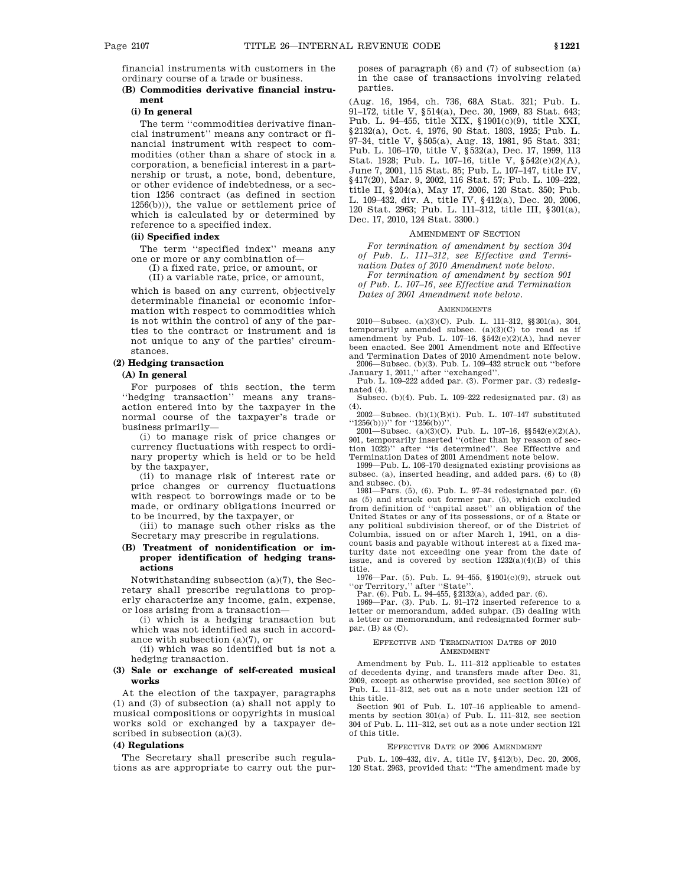financial instruments with customers in the ordinary course of a trade or business.

## **(B) Commodities derivative financial instrument**

### **(i) In general**

The term ''commodities derivative financial instrument'' means any contract or financial instrument with respect to commodities (other than a share of stock in a corporation, a beneficial interest in a partnership or trust, a note, bond, debenture, or other evidence of indebtedness, or a section 1256 contract (as defined in section 1256(b))), the value or settlement price of which is calculated by or determined by reference to a specified index.

## **(ii) Specified index**

The term ''specified index'' means any one or more or any combination of—

(I) a fixed rate, price, or amount, or

(II) a variable rate, price, or amount,

which is based on any current, objectively determinable financial or economic information with respect to commodities which is not within the control of any of the parties to the contract or instrument and is not unique to any of the parties' circumstances.

# **(2) Hedging transaction**

# **(A) In general**

For purposes of this section, the term ''hedging transaction'' means any transaction entered into by the taxpayer in the normal course of the taxpayer's trade or business primarily—

(i) to manage risk of price changes or currency fluctuations with respect to ordinary property which is held or to be held by the taxpayer,

(ii) to manage risk of interest rate or price changes or currency fluctuations with respect to borrowings made or to be made, or ordinary obligations incurred or to be incurred, by the taxpayer, or

(iii) to manage such other risks as the Secretary may prescribe in regulations.

## **(B) Treatment of nonidentification or improper identification of hedging transactions**

Notwithstanding subsection (a)(7), the Secretary shall prescribe regulations to properly characterize any income, gain, expense, or loss arising from a transaction—

(i) which is a hedging transaction but which was not identified as such in accordance with subsection (a)(7), or

(ii) which was so identified but is not a hedging transaction.

## **(3) Sale or exchange of self-created musical works**

At the election of the taxpayer, paragraphs (1) and (3) of subsection (a) shall not apply to musical compositions or copyrights in musical works sold or exchanged by a taxpayer described in subsection (a)(3).

#### **(4) Regulations**

The Secretary shall prescribe such regulations as are appropriate to carry out the purposes of paragraph (6) and (7) of subsection (a) in the case of transactions involving related parties.

(Aug. 16, 1954, ch. 736, 68A Stat. 321; Pub. L. 91–172, title V, §514(a), Dec. 30, 1969, 83 Stat. 643; Pub. L. 94–455, title XIX, §1901(c)(9), title XXI, §2132(a), Oct. 4, 1976, 90 Stat. 1803, 1925; Pub. L. 97–34, title V, §505(a), Aug. 13, 1981, 95 Stat. 331; Pub. L. 106–170, title V, §532(a), Dec. 17, 1999, 113 Stat. 1928; Pub. L. 107–16, title V, §542(e)(2)(A), June 7, 2001, 115 Stat. 85; Pub. L. 107–147, title IV, §417(20), Mar. 9, 2002, 116 Stat. 57; Pub. L. 109-222, title II, §204(a), May 17, 2006, 120 Stat. 350; Pub. L. 109–432, div. A, title IV, §412(a), Dec. 20, 2006, 120 Stat. 2963; Pub. L. 111–312, title III, §301(a), Dec. 17, 2010, 124 Stat. 3300.)

### AMENDMENT OF SECTION

*For termination of amendment by section 304 of Pub. L. 111–312, see Effective and Termination Dates of 2010 Amendment note below.*

*For termination of amendment by section 901 of Pub. L. 107–16, see Effective and Termination Dates of 2001 Amendment note below.*

#### **AMENDMENTS**

2010—Subsec. (a)(3)(C). Pub. L. 111–312, §§301(a), 304, temporarily amended subsec.  $(a)(3)(C)$  to read as if amendment by Pub. L. 107-16,  $$542(e)(2)(A)$ , had never been enacted. See 2001 Amendment note and Effective and Termination Dates of 2010 Amendment note below.

2006—Subsec. (b)(3). Pub. L. 109–432 struck out ''before January 1, 2011,'' after ''exchanged''. Pub. L. 109–222 added par. (3). Former par. (3) redesig-

nated (4). Subsec. (b)(4). Pub. L. 109–222 redesignated par. (3) as

(4). 2002—Subsec. (b)(1)(B)(i). Pub. L. 107–147 substituted ''1256(b)))'' for ''1256(b))''.

 $2001$ —Subsec. (a)(3)(C). Pub. L. 107–16, §§542(e)(2)(A), 901, temporarily inserted ''(other than by reason of section 1022)'' after ''is determined''. See Effective and Termination Dates of 2001 Amendment note below.

1999—Pub. L. 106–170 designated existing provisions as subsec. (a), inserted heading, and added pars. (6) to (8) and subsec. (b).

1981—Pars.  $(5)$ ,  $(6)$ . Pub. L. 97-34 redesignated par.  $(6)$ as (5) and struck out former par. (5), which excluded from definition of ''capital asset'' an obligation of the United States or any of its possessions, or of a State or any political subdivision thereof, or of the District of Columbia, issued on or after March 1, 1941, on a discount basis and payable without interest at a fixed maturity date not exceeding one year from the date of issue, and is covered by section  $1232(a)(4)(B)$  of this title.

1976—Par. (5). Pub. L. 94–455, §1901(c)(9), struck out ''or Territory,'' after ''State''. Par. (6). Pub. L. 94–455, §2132(a), added par. (6). 1969—Par. (3). Pub. L. 91–172 inserted reference to a

letter or memorandum, added subpar. (B) dealing with a letter or memorandum, and redesignated former subpar.  $(B)$  as  $(C)$ .

#### EFFECTIVE AND TERMINATION DATES OF 2010 AMENDMENT

Amendment by Pub. L. 111–312 applicable to estates of decedents dying, and transfers made after Dec. 31, 2009, except as otherwise provided, see section 301(e) of Pub. L. 111–312, set out as a note under section 121 of this title.

Section 901 of Pub. L. 107–16 applicable to amendments by section 301(a) of Pub. L. 111–312, see section 304 of Pub. L. 111–312, set out as a note under section 121 of this title.

#### EFFECTIVE DATE OF 2006 AMENDMENT

Pub. L. 109–432, div. A, title IV, §412(b), Dec. 20, 2006, 120 Stat. 2963, provided that: ''The amendment made by